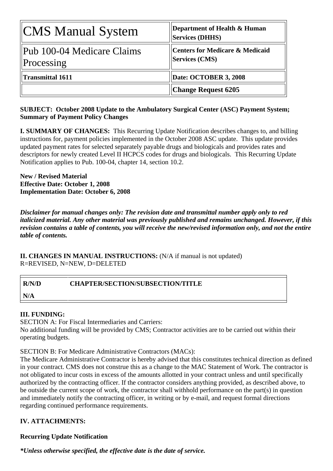| CMS Manual System                         | Department of Health & Human<br><b>Services (DHHS)</b>              |
|-------------------------------------------|---------------------------------------------------------------------|
| Pub 100-04 Medicare Claims<br> Processing | <b>Centers for Medicare &amp; Medicaid</b><br><b>Services (CMS)</b> |
| Transmittal 1611                          | Date: OCTOBER 3, 2008                                               |
|                                           | <b>Change Request 6205</b>                                          |

# **SUBJECT: October 2008 Update to the Ambulatory Surgical Center (ASC) Payment System; Summary of Payment Policy Changes**

**I. SUMMARY OF CHANGES:** This Recurring Update Notification describes changes to, and billing instructions for, payment policies implemented in the October 2008 ASC update. This update provides updated payment rates for selected separately payable drugs and biologicals and provides rates and descriptors for newly created Level II HCPCS codes for drugs and biologicals. This Recurring Update Notification applies to Pub. 100-04, chapter 14, section 10.2.

**New / Revised Material Effective Date: October 1, 2008 Implementation Date: October 6, 2008** 

*Disclaimer for manual changes only: The revision date and transmittal number apply only to red italicized material. Any other material was previously published and remains unchanged. However, if this revision contains a table of contents, you will receive the new/revised information only, and not the entire table of contents.*

**II. CHANGES IN MANUAL INSTRUCTIONS:** (N/A if manual is not updated) R=REVISED, N=NEW, D=DELETED

| <b>R/N/D</b> | <b>CHAPTER/SECTION/SUBSECTION/TITLE</b> |
|--------------|-----------------------------------------|
| N/A          |                                         |

# **III. FUNDING:**

SECTION A: For Fiscal Intermediaries and Carriers:

No additional funding will be provided by CMS; Contractor activities are to be carried out within their operating budgets.

SECTION B: For Medicare Administrative Contractors (MACs):

The Medicare Administrative Contractor is hereby advised that this constitutes technical direction as defined in your contract. CMS does not construe this as a change to the MAC Statement of Work. The contractor is not obligated to incur costs in excess of the amounts allotted in your contract unless and until specifically authorized by the contracting officer. If the contractor considers anything provided, as described above, to be outside the current scope of work, the contractor shall withhold performance on the part(s) in question and immediately notify the contracting officer, in writing or by e-mail, and request formal directions regarding continued performance requirements.

# **IV. ATTACHMENTS:**

# **Recurring Update Notification**

*\*Unless otherwise specified, the effective date is the date of service.*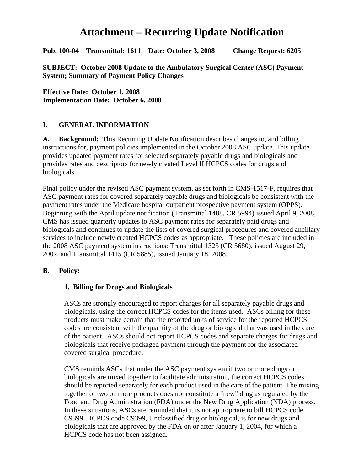# **Attachment – Recurring Update Notification**

| Pub. 100-04   Transmittal: 1611   Date: October 3, 2008 |  | <b>Change Request: 6205</b> |
|---------------------------------------------------------|--|-----------------------------|
|---------------------------------------------------------|--|-----------------------------|

**SUBJECT: October 2008 Update to the Ambulatory Surgical Center (ASC) Payment System; Summary of Payment Policy Changes** 

**Effective Date: October 1, 2008 Implementation Date: October 6, 2008**

# **I. GENERAL INFORMATION**

**A. Background:** This Recurring Update Notification describes changes to, and billing instructions for, payment policies implemented in the October 2008 ASC update. This update provides updated payment rates for selected separately payable drugs and biologicals and provides rates and descriptors for newly created Level II HCPCS codes for drugs and biologicals.

Final policy under the revised ASC payment system, as set forth in CMS-1517-F, requires that ASC payment rates for covered separately payable drugs and biologicals be consistent with the payment rates under the Medicare hospital outpatient prospective payment system (OPPS). Beginning with the April update notification (Transmittal 1488, CR 5994) issued April 9, 2008, CMS has issued quarterly updates to ASC payment rates for separately paid drugs and biologicals and continues to update the lists of covered surgical procedures and covered ancillary services to include newly created HCPCS codes as appropriate. These policies are included in the 2008 ASC payment system instructions: Transmittal 1325 (CR 5680), issued August 29, 2007, and Transmittal 1415 (CR 5885), issued January 18, 2008.

# **B. Policy:**

# **1. Billing for Drugs and Biologicals**

ASCs are strongly encouraged to report charges for all separately payable drugs and biologicals, using the correct HCPCS codes for the items used. ASCs billing for these products must make certain that the reported units of service for the reported HCPCS codes are consistent with the quantity of the drug or biological that was used in the care of the patient. ASCs should not report HCPCS codes and separate charges for drugs and biologicals that receive packaged payment through the payment for the associated covered surgical procedure.

CMS reminds ASCs that under the ASC payment system if two or more drugs or biologicals are mixed together to facilitate administration, the correct HCPCS codes should be reported separately for each product used in the care of the patient. The mixing together of two or more products does not constitute a "new" drug as regulated by the Food and Drug Administration (FDA) under the New Drug Application (NDA) process. In these situations, ASCs are reminded that it is not appropriate to bill HCPCS code C9399. HCPCS code C9399, Unclassified drug or biological, is for new drugs and biologicals that are approved by the FDA on or after January 1, 2004, for which a HCPCS code has not been assigned.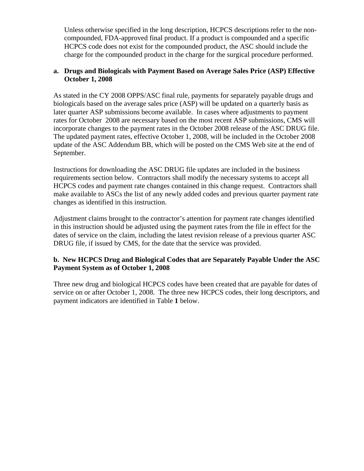Unless otherwise specified in the long description, HCPCS descriptions refer to the noncompounded, FDA-approved final product. If a product is compounded and a specific HCPCS code does not exist for the compounded product, the ASC should include the charge for the compounded product in the charge for the surgical procedure performed.

# **a. Drugs and Biologicals with Payment Based on Average Sales Price (ASP) Effective October 1, 2008**

As stated in the CY 2008 OPPS/ASC final rule, payments for separately payable drugs and biologicals based on the average sales price (ASP) will be updated on a quarterly basis as later quarter ASP submissions become available. In cases where adjustments to payment rates for October 2008 are necessary based on the most recent ASP submissions, CMS will incorporate changes to the payment rates in the October 2008 release of the ASC DRUG file. The updated payment rates, effective October 1, 2008, will be included in the October 2008 update of the ASC Addendum BB, which will be posted on the CMS Web site at the end of September.

Instructions for downloading the ASC DRUG file updates are included in the business requirements section below. Contractors shall modify the necessary systems to accept all HCPCS codes and payment rate changes contained in this change request. Contractors shall make available to ASCs the list of any newly added codes and previous quarter payment rate changes as identified in this instruction.

Adjustment claims brought to the contractor's attention for payment rate changes identified in this instruction should be adjusted using the payment rates from the file in effect for the dates of service on the claim, including the latest revision release of a previous quarter ASC DRUG file, if issued by CMS, for the date that the service was provided.

# **b. New HCPCS Drug and Biological Codes that are Separately Payable Under the ASC Payment System as of October 1, 2008**

Three new drug and biological HCPCS codes have been created that are payable for dates of service on or after October 1, 2008. The three new HCPCS codes, their long descriptors, and payment indicators are identified in Table **1** below.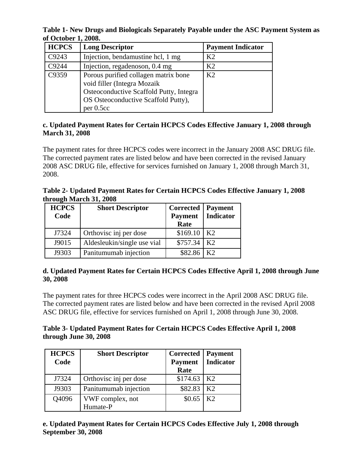**Table 1- New Drugs and Biologicals Separately Payable under the ASC Payment System as of October 1, 2008.** 

| <b>HCPCS</b> | <b>Long Descriptor</b>                                                                                                                                             | <b>Payment Indicator</b> |
|--------------|--------------------------------------------------------------------------------------------------------------------------------------------------------------------|--------------------------|
| C9243        | Injection, bendamustine hcl, 1 mg                                                                                                                                  | K <sub>2</sub>           |
| C9244        | Injection, regadenoson, 0.4 mg                                                                                                                                     | K <sub>2</sub>           |
| C9359        | Porous purified collagen matrix bone<br>void filler (Integra Mozaik<br>Osteoconductive Scaffold Putty, Integra<br>OS Osteoconductive Scaffold Putty),<br>per 0.5cc | K <sub>2</sub>           |

### **c. Updated Payment Rates for Certain HCPCS Codes Effective January 1, 2008 through March 31, 2008**

The payment rates for three HCPCS codes were incorrect in the January 2008 ASC DRUG file. The corrected payment rates are listed below and have been corrected in the revised January 2008 ASC DRUG file, effective for services furnished on January 1, 2008 through March 31, 2008.

**Table 2- Updated Payment Rates for Certain HCPCS Codes Effective January 1, 2008 through March 31, 2008**

| <b>HCPCS</b><br>Code | <b>Short Descriptor</b>     | <b>Corrected</b>   Payment<br><b>Payment</b> | <b>Indicator</b> |
|----------------------|-----------------------------|----------------------------------------------|------------------|
|                      |                             | Rate                                         |                  |
| J7324                | Orthovisc inj per dose      | \$169.10                                     | K2               |
| J9015                | Aldesleukin/single use vial | \$757.34                                     | K <sub>2</sub>   |
| J9303                | Panitumumab injection       | \$82.86                                      | K?               |

# **d. Updated Payment Rates for Certain HCPCS Codes Effective April 1, 2008 through June 30, 2008**

The payment rates for three HCPCS codes were incorrect in the April 2008 ASC DRUG file. The corrected payment rates are listed below and have been corrected in the revised April 2008 ASC DRUG file, effective for services furnished on April 1, 2008 through June 30, 2008.

# **Table 3- Updated Payment Rates for Certain HCPCS Codes Effective April 1, 2008 through June 30, 2008**

| <b>HCPCS</b> | <b>Short Descriptor</b> | Corrected      | <b>Payment</b>   |
|--------------|-------------------------|----------------|------------------|
| Code         |                         | <b>Payment</b> | <b>Indicator</b> |
|              |                         | Rate           |                  |
| J7324        | Orthovisc inj per dose  | $$174.63$ K2   |                  |
| J9303        | Panitumumab injection   | \$82.83        | K2               |
| Q4096        | VWF complex, not        | \$0.65         | K <sub>2</sub>   |
|              | Humate-P                |                |                  |

**e. Updated Payment Rates for Certain HCPCS Codes Effective July 1, 2008 through September 30, 2008**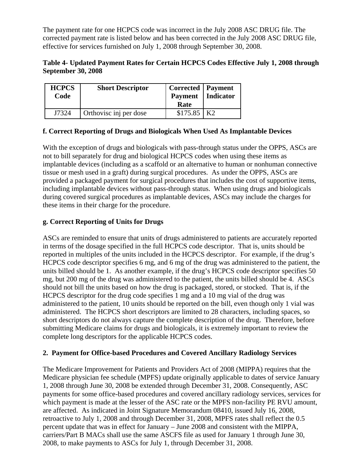The payment rate for one HCPCS code was incorrect in the July 2008 ASC DRUG file. The corrected payment rate is listed below and has been corrected in the July 2008 ASC DRUG file, effective for services furnished on July 1, 2008 through September 30, 2008.

### **Table 4- Updated Payment Rates for Certain HCPCS Codes Effective July 1, 2008 through September 30, 2008**

| <b>HCPCS</b><br>Code | <b>Short Descriptor</b> | <b>Corrected</b>   Payment<br>Payment   Indicator<br>Rate |  |
|----------------------|-------------------------|-----------------------------------------------------------|--|
| J7324                | Orthovisc inj per dose  | $$175.85$ K2                                              |  |

# **f. Correct Reporting of Drugs and Biologicals When Used As Implantable Devices**

With the exception of drugs and biologicals with pass-through status under the OPPS, ASCs are not to bill separately for drug and biological HCPCS codes when using these items as implantable devices (including as a scaffold or an alternative to human or nonhuman connective tissue or mesh used in a graft) during surgical procedures. As under the OPPS, ASCs are provided a packaged payment for surgical procedures that includes the cost of supportive items, including implantable devices without pass-through status. When using drugs and biologicals during covered surgical procedures as implantable devices, ASCs may include the charges for these items in their charge for the procedure.

# **g. Correct Reporting of Units for Drugs**

ASCs are reminded to ensure that units of drugs administered to patients are accurately reported in terms of the dosage specified in the full HCPCS code descriptor. That is, units should be reported in multiples of the units included in the HCPCS descriptor. For example, if the drug's HCPCS code descriptor specifies 6 mg, and 6 mg of the drug was administered to the patient, the units billed should be 1. As another example, if the drug's HCPCS code descriptor specifies 50 mg, but 200 mg of the drug was administered to the patient, the units billed should be 4. ASCs should not bill the units based on how the drug is packaged, stored, or stocked. That is, if the HCPCS descriptor for the drug code specifies 1 mg and a 10 mg vial of the drug was administered to the patient, 10 units should be reported on the bill, even though only 1 vial was administered. The HCPCS short descriptors are limited to 28 characters, including spaces, so short descriptors do not always capture the complete description of the drug. Therefore, before submitting Medicare claims for drugs and biologicals, it is extremely important to review the complete long descriptors for the applicable HCPCS codes.

# **2. Payment for Office-based Procedures and Covered Ancillary Radiology Services**

The Medicare Improvement for Patients and Providers Act of 2008 (MIPPA) requires that the Medicare physician fee schedule (MPFS) update originally applicable to dates of service January 1, 2008 through June 30, 2008 be extended through December 31, 2008. Consequently, ASC payments for some office-based procedures and covered ancillary radiology services, services for which payment is made at the lesser of the ASC rate or the MPFS non-facility PE RVU amount, are affected. As indicated in Joint Signature Memorandum 08410, issued July 16, 2008, retroactive to July 1, 2008 and through December 31, 2008, MPFS rates shall reflect the 0.5 percent update that was in effect for January – June 2008 and consistent with the MIPPA, carriers/Part B MACs shall use the same ASCFS file as used for January 1 through June 30, 2008, to make payments to ASCs for July 1, through December 31, 2008.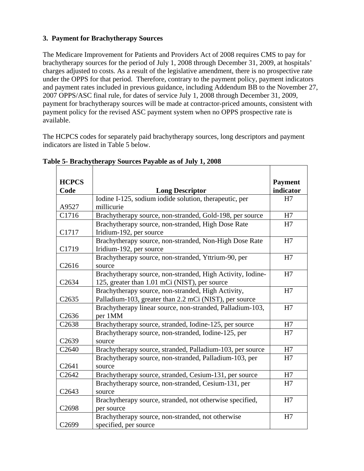# **3. Payment for Brachytherapy Sources**

The Medicare Improvement for Patients and Providers Act of 2008 requires CMS to pay for brachytherapy sources for the period of July 1, 2008 through December 31, 2009, at hospitals' charges adjusted to costs. As a result of the legislative amendment, there is no prospective rate under the OPPS for that period. Therefore, contrary to the payment policy, payment indicators and payment rates included in previous guidance, including Addendum BB to the November 27, 2007 OPPS/ASC final rule, for dates of service July 1, 2008 through December 31, 2009, payment for brachytherapy sources will be made at contractor-priced amounts, consistent with payment policy for the revised ASC payment system when no OPPS prospective rate is available.

The HCPCS codes for separately paid brachytherapy sources, long descriptors and payment indicators are listed in Table 5 below.

| <b>HCPCS</b><br>Code | <b>Long Descriptor</b>                                                                                       | <b>Payment</b><br>indicator |
|----------------------|--------------------------------------------------------------------------------------------------------------|-----------------------------|
| A9527                | Iodine I-125, sodium iodide solution, therapeutic, per<br>millicurie                                         | H7                          |
| C1716                | Brachytherapy source, non-stranded, Gold-198, per source                                                     | H7                          |
| C1717                | Brachytherapy source, non-stranded, High Dose Rate<br>Iridium-192, per source                                | H7                          |
| C1719                | Brachytherapy source, non-stranded, Non-High Dose Rate<br>Iridium-192, per source                            | H7                          |
| C2616                | Brachytherapy source, non-stranded, Yttrium-90, per<br>source                                                | H7                          |
| C <sub>2634</sub>    | Brachytherapy source, non-stranded, High Activity, Iodine-<br>125, greater than 1.01 mCi (NIST), per source  | H7                          |
| C <sub>2635</sub>    | Brachytherapy source, non-stranded, High Activity,<br>Palladium-103, greater than 2.2 mCi (NIST), per source | H7                          |
| C <sub>2636</sub>    | Brachytherapy linear source, non-stranded, Palladium-103,<br>per 1MM                                         | H7                          |
| C <sub>2638</sub>    | Brachytherapy source, stranded, Iodine-125, per source                                                       | H7                          |
| C <sub>2639</sub>    | Brachytherapy source, non-stranded, Iodine-125, per<br>source                                                | H7                          |
| C <sub>2640</sub>    | Brachytherapy source, stranded, Palladium-103, per source                                                    | H7                          |
| C <sub>2641</sub>    | Brachytherapy source, non-stranded, Palladium-103, per<br>source                                             | H7                          |
| C <sub>2642</sub>    | Brachytherapy source, stranded, Cesium-131, per source                                                       | H7                          |
| C <sub>2643</sub>    | Brachytherapy source, non-stranded, Cesium-131, per<br>source                                                | H7                          |
| C2698                | Brachytherapy source, stranded, not otherwise specified,<br>per source                                       | H7                          |
| C2699                | Brachytherapy source, non-stranded, not otherwise<br>specified, per source                                   | H7                          |

#### **Table 5- Brachytherapy Sources Payable as of July 1, 2008**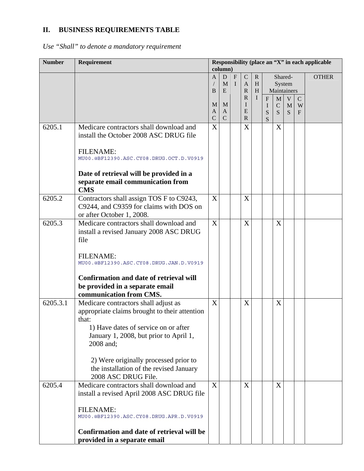# **II. BUSINESS REQUIREMENTS TABLE**

*Use "Shall" to denote a mandatory requirement* 

| <b>Number</b> | Requirement                                                                                                                                                                                                                                                                                              | Responsibility (place an "X" in each applicable<br>column) |                                    |                              |                                             |                        |                                              |                                 |                       |                       |              |
|---------------|----------------------------------------------------------------------------------------------------------------------------------------------------------------------------------------------------------------------------------------------------------------------------------------------------------|------------------------------------------------------------|------------------------------------|------------------------------|---------------------------------------------|------------------------|----------------------------------------------|---------------------------------|-----------------------|-----------------------|--------------|
|               |                                                                                                                                                                                                                                                                                                          | A<br>B                                                     | D<br>$\mathbf{M}$<br>E             | $\mathbf{F}$<br>$\mathbf{I}$ | $\mathbf C$<br>$\mathbf{A}$<br>$\mathbb{R}$ | $\mathbf{R}$<br>H<br>H |                                              | System<br>Maintainers           | Shared-               |                       | <b>OTHER</b> |
|               |                                                                                                                                                                                                                                                                                                          | M<br>A<br>$\mathcal{C}$                                    | M<br>$\mathbf{A}$<br>$\mathcal{C}$ |                              | $\mathbb{R}$<br>I<br>E<br>$\mathbf{R}$      | I                      | $\overline{F}$<br>$\bf{I}$<br>${\bf S}$<br>S | $\mathbf M$<br>$\mathsf C$<br>S | V<br>$\mathbf M$<br>S | $\mathbf C$<br>W<br>F |              |
| 6205.1        | Medicare contractors shall download and<br>install the October 2008 ASC DRUG file<br><b>FILENAME:</b><br>MU00.@BF12390.ASC.CY08.DRUG.OCT.D.V0919<br>Date of retrieval will be provided in a<br>separate email communication from<br><b>CMS</b>                                                           | X                                                          |                                    |                              | X                                           |                        |                                              | X                               |                       |                       |              |
| 6205.2        | Contractors shall assign TOS F to C9243,<br>C9244, and C9359 for claims with DOS on<br>or after October 1, 2008.                                                                                                                                                                                         | X                                                          |                                    |                              | X                                           |                        |                                              |                                 |                       |                       |              |
| 6205.3        | Medicare contractors shall download and<br>install a revised January 2008 ASC DRUG<br>file<br><b>FILENAME:</b><br>MU00.@BF12390.ASC.CY08.DRUG.JAN.D.V0919<br><b>Confirmation and date of retrieval will</b><br>be provided in a separate email<br>communication from CMS.                                | X                                                          |                                    |                              | X                                           |                        |                                              | X                               |                       |                       |              |
| 6205.3.1      | Medicare contractors shall adjust as<br>appropriate claims brought to their attention<br>that:<br>1) Have dates of service on or after<br>January 1, 2008, but prior to April 1,<br>2008 and;<br>2) Were originally processed prior to<br>the installation of the revised January<br>2008 ASC DRUG File. | X                                                          |                                    |                              | X                                           |                        |                                              | X                               |                       |                       |              |
| 6205.4        | Medicare contractors shall download and<br>install a revised April 2008 ASC DRUG file<br><b>FILENAME:</b><br>MU00.@BF12390.ASC.CY08.DRUG.APR.D.V0919<br>Confirmation and date of retrieval will be<br>provided in a separate email                                                                       | X                                                          |                                    |                              | X                                           |                        |                                              | X                               |                       |                       |              |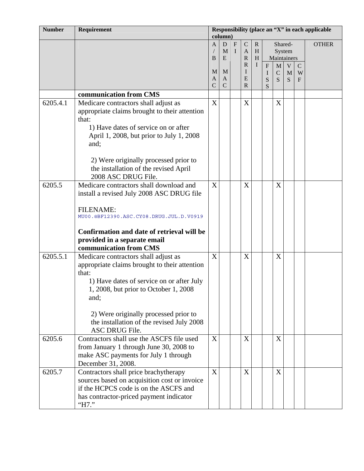| <b>Number</b> | Responsibility (place an "X" in each applicable<br>Requirement<br>column)                                                                                                                                                             |                          |                       |                  |                                             |                        |                            |                                  |             |                                    |              |
|---------------|---------------------------------------------------------------------------------------------------------------------------------------------------------------------------------------------------------------------------------------|--------------------------|-----------------------|------------------|---------------------------------------------|------------------------|----------------------------|----------------------------------|-------------|------------------------------------|--------------|
|               |                                                                                                                                                                                                                                       | A<br>B                   | D<br>M<br>E           | F<br>$\mathbf I$ | $\mathbf C$<br>$\mathbf{A}$<br>$\mathbb{R}$ | $\mathbf{R}$<br>H<br>H |                            | Shared-<br>System<br>Maintainers |             |                                    | <b>OTHER</b> |
|               |                                                                                                                                                                                                                                       | M<br>A<br>$\overline{C}$ | M<br>A<br>$\mathbf C$ |                  | $\mathbb{R}$<br>I<br>E<br>$\mathbf R$       | I                      | $\mathbf F$<br>I<br>S<br>S | $\mathbf M$<br>$\mathbf C$<br>S  | V<br>M<br>S | $\mathcal{C}$<br>W<br>$\mathbf{F}$ |              |
|               | communication from CMS                                                                                                                                                                                                                |                          |                       |                  |                                             |                        |                            |                                  |             |                                    |              |
| 6205.4.1      | Medicare contractors shall adjust as<br>appropriate claims brought to their attention<br>that:<br>1) Have dates of service on or after                                                                                                | X                        |                       |                  | X                                           |                        |                            | X                                |             |                                    |              |
|               | April 1, 2008, but prior to July 1, 2008<br>and;<br>2) Were originally processed prior to                                                                                                                                             |                          |                       |                  |                                             |                        |                            |                                  |             |                                    |              |
|               | the installation of the revised April<br>2008 ASC DRUG File.                                                                                                                                                                          |                          |                       |                  |                                             |                        |                            |                                  |             |                                    |              |
| 6205.5        | Medicare contractors shall download and<br>install a revised July 2008 ASC DRUG file                                                                                                                                                  | X                        |                       |                  | X                                           |                        |                            | X                                |             |                                    |              |
|               | <b>FILENAME:</b><br>MU00.@BF12390.ASC.CY08.DRUG.JUL.D.V0919                                                                                                                                                                           |                          |                       |                  |                                             |                        |                            |                                  |             |                                    |              |
|               | Confirmation and date of retrieval will be<br>provided in a separate email<br>communication from CMS                                                                                                                                  |                          |                       |                  |                                             |                        |                            |                                  |             |                                    |              |
| 6205.5.1      | Medicare contractors shall adjust as<br>appropriate claims brought to their attention<br>that:<br>1) Have dates of service on or after July<br>1, 2008, but prior to October 1, 2008<br>and;<br>2) Were originally processed prior to | X                        |                       |                  | X                                           |                        |                            | X                                |             |                                    |              |
|               | the installation of the revised July 2008<br>ASC DRUG File.                                                                                                                                                                           |                          |                       |                  |                                             |                        |                            |                                  |             |                                    |              |
| 6205.6        | Contractors shall use the ASCFS file used<br>from January 1 through June 30, 2008 to<br>make ASC payments for July 1 through<br>December 31, 2008.                                                                                    | X                        |                       |                  | X                                           |                        |                            | X                                |             |                                    |              |
| 6205.7        | Contractors shall price brachytherapy<br>sources based on acquisition cost or invoice<br>if the HCPCS code is on the ASCFS and<br>has contractor-priced payment indicator<br>"H7."                                                    | X                        |                       |                  | X                                           |                        |                            | X                                |             |                                    |              |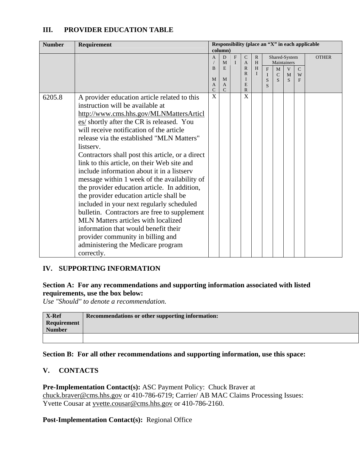# **III. PROVIDER EDUCATION TABLE**

| <b>Number</b> | Requirement                                                                                                                                                                                                                                                                                                                                                                                                                                                                                                                                                                                                                                                                                                                                                                                                                                     |                                               | column)                                |                           |                                                                                        |                                        |                                       |                                                        |                        |                        | Responsibility (place an "X" in each applicable |
|---------------|-------------------------------------------------------------------------------------------------------------------------------------------------------------------------------------------------------------------------------------------------------------------------------------------------------------------------------------------------------------------------------------------------------------------------------------------------------------------------------------------------------------------------------------------------------------------------------------------------------------------------------------------------------------------------------------------------------------------------------------------------------------------------------------------------------------------------------------------------|-----------------------------------------------|----------------------------------------|---------------------------|----------------------------------------------------------------------------------------|----------------------------------------|---------------------------------------|--------------------------------------------------------|------------------------|------------------------|-------------------------------------------------|
|               |                                                                                                                                                                                                                                                                                                                                                                                                                                                                                                                                                                                                                                                                                                                                                                                                                                                 | $\overline{A}$<br>B<br>M<br>A<br>$\mathsf{C}$ | D<br>M<br>E<br>M<br>A<br>$\mathcal{C}$ | ${\bf F}$<br>$\mathbf{I}$ | $\mathsf{C}$<br>$\mathbf{A}$<br>$\mathbb{R}$<br>$\mathbb{R}$<br>I<br>E<br>$\mathbb{R}$ | $\mathbb{R}$<br>H<br>H<br>$\mathbf{I}$ | $\mathbf{F}$<br>$\mathbf I$<br>S<br>S | Shared-System<br>Maintainers<br>M<br>$\mathsf{C}$<br>S | V<br>$\mathbf{M}$<br>S | $\mathbf{C}$<br>W<br>F | <b>OTHER</b>                                    |
| 6205.8        | A provider education article related to this<br>instruction will be available at<br>http://www.cms.hhs.gov/MLNMattersArticl<br>es/ shortly after the CR is released. You<br>will receive notification of the article<br>release via the established "MLN Matters"<br>listserv.<br>Contractors shall post this article, or a direct<br>link to this article, on their Web site and<br>include information about it in a listserv<br>message within 1 week of the availability of<br>the provider education article. In addition,<br>the provider education article shall be<br>included in your next regularly scheduled<br>bulletin. Contractors are free to supplement<br>MLN Matters articles with localized<br>information that would benefit their<br>provider community in billing and<br>administering the Medicare program<br>correctly. | $\overline{\text{X}}$                         |                                        |                           | $\overline{\text{X}}$                                                                  |                                        |                                       |                                                        |                        |                        |                                                 |

# **IV. SUPPORTING INFORMATION**

#### **Section A: For any recommendations and supporting information associated with listed requirements, use the box below:**

*Use "Should" to denote a recommendation.* 

| X-Ref<br>Requirement | Recommendations or other supporting information: |
|----------------------|--------------------------------------------------|
| <b>Number</b>        |                                                  |
|                      |                                                  |

#### **Section B: For all other recommendations and supporting information, use this space:**

# **V. CONTACTS**

**Pre-Implementation Contact(s):** ASC Payment Policy: Chuck Braver at [chuck.braver@cms.hhs.gov](mailto:chuck.braver@cms.hhs.gov) or 410-786-6719; Carrier/ AB MAC Claims Processing Issues: Yvette Cousar at [yvette.cousar@cms.hhs.gov](mailto:yvette.cousar@cms.hhs.gov) or 410-786-2160.

#### **Post-Implementation Contact(s):** Regional Office